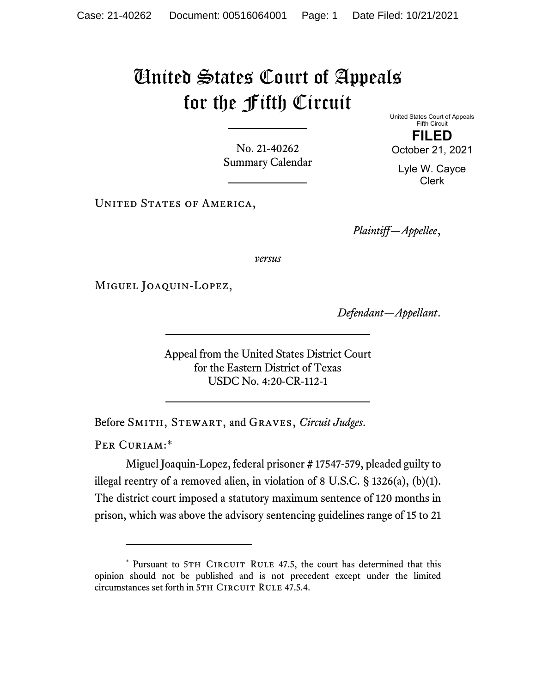## United States Court of Appeals for the Fifth Circuit

No. 21-40262 Summary Calendar United States Court of Appeals Fifth Circuit **FILED**  October 21, 2021

Lyle W. Cayce Clerk

UNITED STATES OF AMERICA,

*Plaintiff—Appellee*,

*versus*

Miguel Joaquin-Lopez,

*Defendant—Appellant*.

Appeal from the United States District Court for the Eastern District of Texas USDC No. 4:20-CR-112-1

Before Smith, Stewart, and Graves, *Circuit Judges*.

PER CURIAM:\*

Miguel Joaquin-Lopez, federal prisoner # 17547-579, pleaded guilty to illegal reentry of a removed alien, in violation of 8 U.S.C. § 1326(a), (b)(1). The district court imposed a statutory maximum sentence of 120 months in prison, which was above the advisory sentencing guidelines range of 15 to 21

<sup>\*</sup> Pursuant to 5TH CIRCUIT RULE 47.5, the court has determined that this opinion should not be published and is not precedent except under the limited circumstances set forth in 5TH CIRCUIT RULE 47.5.4.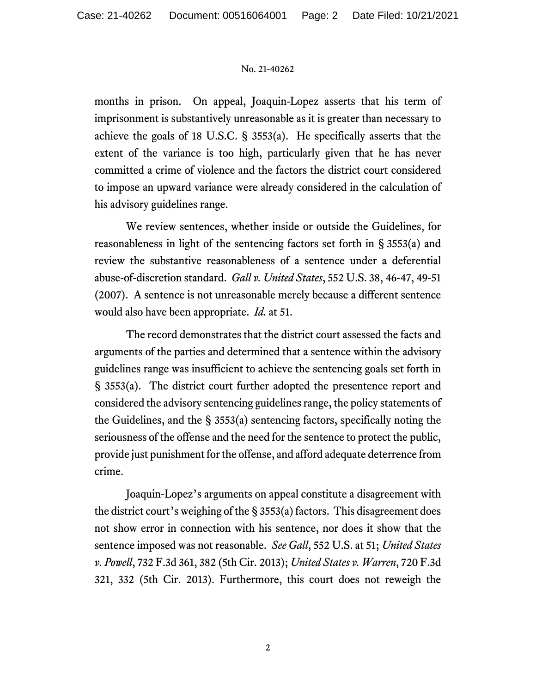## No. 21-40262

months in prison. On appeal, Joaquin-Lopez asserts that his term of imprisonment is substantively unreasonable as it is greater than necessary to achieve the goals of 18 U.S.C. § 3553(a). He specifically asserts that the extent of the variance is too high, particularly given that he has never committed a crime of violence and the factors the district court considered to impose an upward variance were already considered in the calculation of his advisory guidelines range.

We review sentences, whether inside or outside the Guidelines, for reasonableness in light of the sentencing factors set forth in § 3553(a) and review the substantive reasonableness of a sentence under a deferential abuse-of-discretion standard. *Gall v. United States*, 552 U.S. 38, 46-47, 49-51 (2007). A sentence is not unreasonable merely because a different sentence would also have been appropriate. *Id.* at 51.

The record demonstrates that the district court assessed the facts and arguments of the parties and determined that a sentence within the advisory guidelines range was insufficient to achieve the sentencing goals set forth in § 3553(a). The district court further adopted the presentence report and considered the advisory sentencing guidelines range, the policy statements of the Guidelines, and the § 3553(a) sentencing factors, specifically noting the seriousness of the offense and the need for the sentence to protect the public, provide just punishment for the offense, and afford adequate deterrence from crime.

Joaquin-Lopez's arguments on appeal constitute a disagreement with the district court's weighing of the  $\S$  3553(a) factors. This disagreement does not show error in connection with his sentence, nor does it show that the sentence imposed was not reasonable. *See Gall*, 552 U.S. at 51; *United States v. Powell*, 732 F.3d 361, 382 (5th Cir. 2013); *United States v. Warren*, 720 F.3d 321, 332 (5th Cir. 2013). Furthermore, this court does not reweigh the